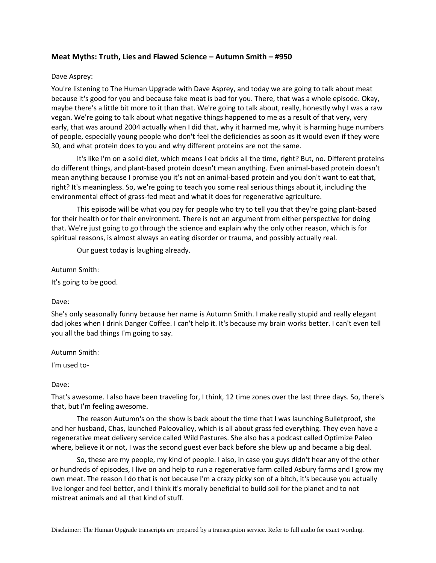# **Meat Myths: Truth, Lies and Flawed Science – Autumn Smith – #950**

## Dave Asprey:

You're listening to The Human Upgrade with Dave Asprey, and today we are going to talk about meat because it's good for you and because fake meat is bad for you. There, that was a whole episode. Okay, maybe there's a little bit more to it than that. We're going to talk about, really, honestly why I was a raw vegan. We're going to talk about what negative things happened to me as a result of that very, very early, that was around 2004 actually when I did that, why it harmed me, why it is harming huge numbers of people, especially young people who don't feel the deficiencies as soon as it would even if they were 30, and what protein does to you and why different proteins are not the same.

It's like I'm on a solid diet, which means I eat bricks all the time, right? But, no. Different proteins do different things, and plant-based protein doesn't mean anything. Even animal-based protein doesn't mean anything because I promise you it's not an animal-based protein and you don't want to eat that, right? It's meaningless. So, we're going to teach you some real serious things about it, including the environmental effect of grass-fed meat and what it does for regenerative agriculture.

This episode will be what you pay for people who try to tell you that they're going plant-based for their health or for their environment. There is not an argument from either perspective for doing that. We're just going to go through the science and explain why the only other reason, which is for spiritual reasons, is almost always an eating disorder or trauma, and possibly actually real.

Our guest today is laughing already.

Autumn Smith:

It's going to be good.

Dave:

She's only seasonally funny because her name is Autumn Smith. I make really stupid and really elegant dad jokes when I drink Danger Coffee. I can't help it. It's because my brain works better. I can't even tell you all the bad things I'm going to say.

Autumn Smith:

I'm used to-

### Dave:

That's awesome. I also have been traveling for, I think, 12 time zones over the last three days. So, there's that, but I'm feeling awesome.

The reason Autumn's on the show is back about the time that I was launching Bulletproof, she and her husband, Chas, launched Paleovalley, which is all about grass fed everything. They even have a regenerative meat delivery service called Wild Pastures. She also has a podcast called Optimize Paleo where, believe it or not, I was the second guest ever back before she blew up and became a big deal.

So, these are my people, my kind of people. I also, in case you guys didn't hear any of the other or hundreds of episodes, I live on and help to run a regenerative farm called Asbury farms and I grow my own meat. The reason I do that is not because I'm a crazy picky son of a bitch, it's because you actually live longer and feel better, and I think it's morally beneficial to build soil for the planet and to not mistreat animals and all that kind of stuff.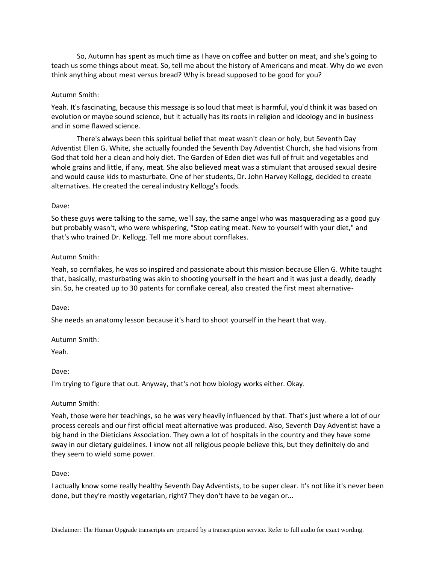So, Autumn has spent as much time as I have on coffee and butter on meat, and she's going to teach us some things about meat. So, tell me about the history of Americans and meat. Why do we even think anything about meat versus bread? Why is bread supposed to be good for you?

## Autumn Smith:

Yeah. It's fascinating, because this message is so loud that meat is harmful, you'd think it was based on evolution or maybe sound science, but it actually has its roots in religion and ideology and in business and in some flawed science.

There's always been this spiritual belief that meat wasn't clean or holy, but Seventh Day Adventist Ellen G. White, she actually founded the Seventh Day Adventist Church, she had visions from God that told her a clean and holy diet. The Garden of Eden diet was full of fruit and vegetables and whole grains and little, if any, meat. She also believed meat was a stimulant that aroused sexual desire and would cause kids to masturbate. One of her students, Dr. John Harvey Kellogg, decided to create alternatives. He created the cereal industry Kellogg's foods.

### Dave:

So these guys were talking to the same, we'll say, the same angel who was masquerading as a good guy but probably wasn't, who were whispering, "Stop eating meat. New to yourself with your diet," and that's who trained Dr. Kellogg. Tell me more about cornflakes.

## Autumn Smith:

Yeah, so cornflakes, he was so inspired and passionate about this mission because Ellen G. White taught that, basically, masturbating was akin to shooting yourself in the heart and it was just a deadly, deadly sin. So, he created up to 30 patents for cornflake cereal, also created the first meat alternative-

### Dave:

She needs an anatomy lesson because it's hard to shoot yourself in the heart that way.

### Autumn Smith:

Yeah.

# Dave:

I'm trying to figure that out. Anyway, that's not how biology works either. Okay.

### Autumn Smith:

Yeah, those were her teachings, so he was very heavily influenced by that. That's just where a lot of our process cereals and our first official meat alternative was produced. Also, Seventh Day Adventist have a big hand in the Dieticians Association. They own a lot of hospitals in the country and they have some sway in our dietary guidelines. I know not all religious people believe this, but they definitely do and they seem to wield some power.

### Dave:

I actually know some really healthy Seventh Day Adventists, to be super clear. It's not like it's never been done, but they're mostly vegetarian, right? They don't have to be vegan or...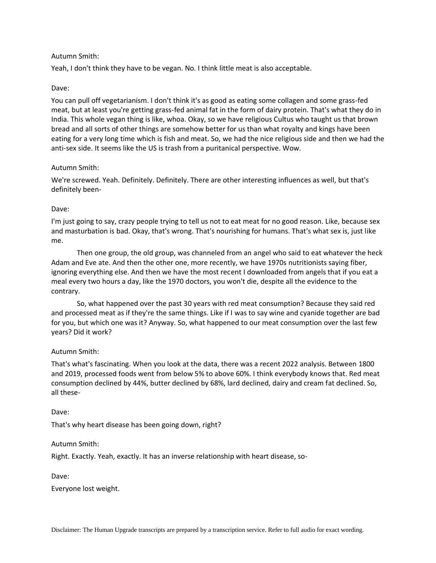## Autumn Smith:

Yeah, I don't think they have to be vegan. No. I think little meat is also acceptable.

### Dave:

You can pull off vegetarianism. I don't think it's as good as eating some collagen and some grass-fed meat, but at least you're getting grass-fed animal fat in the form of dairy protein. That's what they do in India. This whole vegan thing is like, whoa. Okay, so we have religious Cultus who taught us that brown bread and all sorts of other things are somehow better for us than what royalty and kings have been eating for a very long time which is fish and meat. So, we had the nice religious side and then we had the anti-sex side. It seems like the US is trash from a puritanical perspective. Wow.

## Autumn Smith:

We're screwed. Yeah. Definitely. Definitely. There are other interesting influences as well, but that's definitely been-

## Dave:

I'm just going to say, crazy people trying to tell us not to eat meat for no good reason. Like, because sex and masturbation is bad. Okay, that's wrong. That's nourishing for humans. That's what sex is, just like me.

Then one group, the old group, was channeled from an angel who said to eat whatever the heck Adam and Eve ate. And then the other one, more recently, we have 1970s nutritionists saying fiber, ignoring everything else. And then we have the most recent I downloaded from angels that if you eat a meal every two hours a day, like the 1970 doctors, you won't die, despite all the evidence to the contrary.

So, what happened over the past 30 years with red meat consumption? Because they said red and processed meat as if they're the same things. Like if I was to say wine and cyanide together are bad for you, but which one was it? Anyway. So, what happened to our meat consumption over the last few years? Did it work?

### Autumn Smith:

That's what's fascinating. When you look at the data, there was a recent 2022 analysis. Between 1800 and 2019, processed foods went from below 5% to above 60%. I think everybody knows that. Red meat consumption declined by 44%, butter declined by 68%, lard declined, dairy and cream fat declined. So, all these-

### Dave:

That's why heart disease has been going down, right?

### Autumn Smith:

Right. Exactly. Yeah, exactly. It has an inverse relationship with heart disease, so-

Dave:

Everyone lost weight.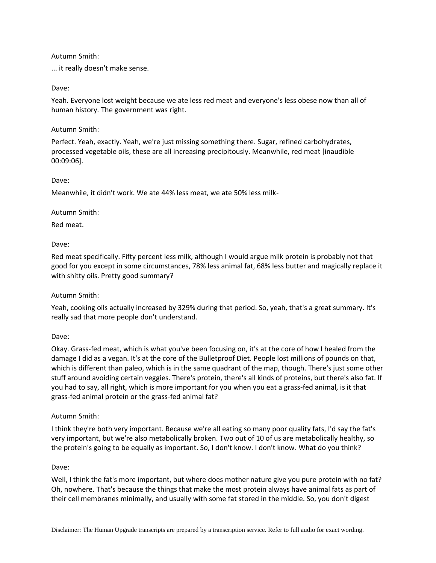## Autumn Smith:

... it really doesn't make sense.

## Dave:

Yeah. Everyone lost weight because we ate less red meat and everyone's less obese now than all of human history. The government was right.

## Autumn Smith:

Perfect. Yeah, exactly. Yeah, we're just missing something there. Sugar, refined carbohydrates, processed vegetable oils, these are all increasing precipitously. Meanwhile, red meat [inaudible 00:09:06].

## Dave:

Meanwhile, it didn't work. We ate 44% less meat, we ate 50% less milk-

## Autumn Smith:

Red meat.

# Dave:

Red meat specifically. Fifty percent less milk, although I would argue milk protein is probably not that good for you except in some circumstances, 78% less animal fat, 68% less butter and magically replace it with shitty oils. Pretty good summary?

# Autumn Smith:

Yeah, cooking oils actually increased by 329% during that period. So, yeah, that's a great summary. It's really sad that more people don't understand.

# Dave:

Okay. Grass-fed meat, which is what you've been focusing on, it's at the core of how I healed from the damage I did as a vegan. It's at the core of the Bulletproof Diet. People lost millions of pounds on that, which is different than paleo, which is in the same quadrant of the map, though. There's just some other stuff around avoiding certain veggies. There's protein, there's all kinds of proteins, but there's also fat. If you had to say, all right, which is more important for you when you eat a grass-fed animal, is it that grass-fed animal protein or the grass-fed animal fat?

# Autumn Smith:

I think they're both very important. Because we're all eating so many poor quality fats, I'd say the fat's very important, but we're also metabolically broken. Two out of 10 of us are metabolically healthy, so the protein's going to be equally as important. So, I don't know. I don't know. What do you think?

# Dave:

Well, I think the fat's more important, but where does mother nature give you pure protein with no fat? Oh, nowhere. That's because the things that make the most protein always have animal fats as part of their cell membranes minimally, and usually with some fat stored in the middle. So, you don't digest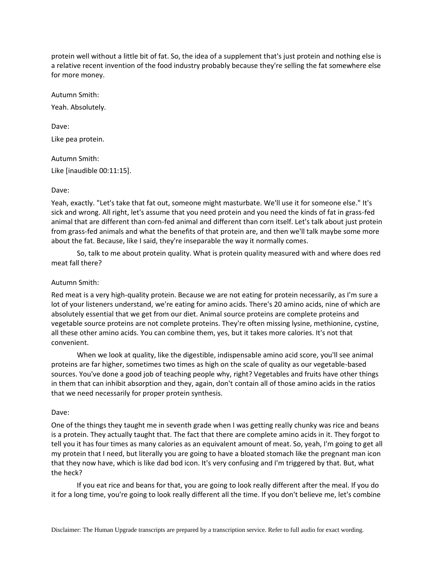protein well without a little bit of fat. So, the idea of a supplement that's just protein and nothing else is a relative recent invention of the food industry probably because they're selling the fat somewhere else for more money.

Autumn Smith: Yeah. Absolutely.

Dave: Like pea protein.

Autumn Smith: Like [inaudible 00:11:15].

# Dave:

Yeah, exactly. "Let's take that fat out, someone might masturbate. We'll use it for someone else." It's sick and wrong. All right, let's assume that you need protein and you need the kinds of fat in grass-fed animal that are different than corn-fed animal and different than corn itself. Let's talk about just protein from grass-fed animals and what the benefits of that protein are, and then we'll talk maybe some more about the fat. Because, like I said, they're inseparable the way it normally comes.

So, talk to me about protein quality. What is protein quality measured with and where does red meat fall there?

# Autumn Smith:

Red meat is a very high-quality protein. Because we are not eating for protein necessarily, as I'm sure a lot of your listeners understand, we're eating for amino acids. There's 20 amino acids, nine of which are absolutely essential that we get from our diet. Animal source proteins are complete proteins and vegetable source proteins are not complete proteins. They're often missing lysine, methionine, cystine, all these other amino acids. You can combine them, yes, but it takes more calories. It's not that convenient.

When we look at quality, like the digestible, indispensable amino acid score, you'll see animal proteins are far higher, sometimes two times as high on the scale of quality as our vegetable-based sources. You've done a good job of teaching people why, right? Vegetables and fruits have other things in them that can inhibit absorption and they, again, don't contain all of those amino acids in the ratios that we need necessarily for proper protein synthesis.

# Dave:

One of the things they taught me in seventh grade when I was getting really chunky was rice and beans is a protein. They actually taught that. The fact that there are complete amino acids in it. They forgot to tell you it has four times as many calories as an equivalent amount of meat. So, yeah, I'm going to get all my protein that I need, but literally you are going to have a bloated stomach like the pregnant man icon that they now have, which is like dad bod icon. It's very confusing and I'm triggered by that. But, what the heck?

If you eat rice and beans for that, you are going to look really different after the meal. If you do it for a long time, you're going to look really different all the time. If you don't believe me, let's combine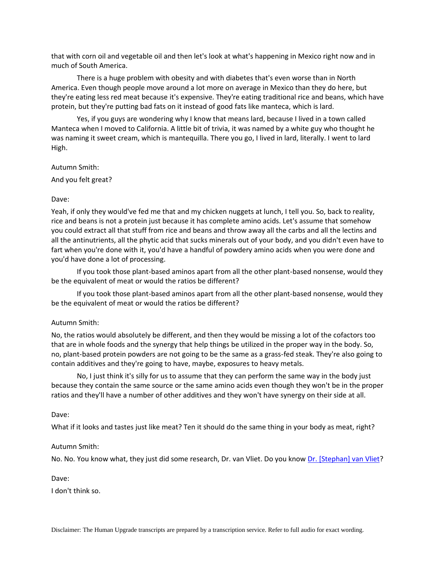that with corn oil and vegetable oil and then let's look at what's happening in Mexico right now and in much of South America.

There is a huge problem with obesity and with diabetes that's even worse than in North America. Even though people move around a lot more on average in Mexico than they do here, but they're eating less red meat because it's expensive. They're eating traditional rice and beans, which have protein, but they're putting bad fats on it instead of good fats like manteca, which is lard.

Yes, if you guys are wondering why I know that means lard, because I lived in a town called Manteca when I moved to California. A little bit of trivia, it was named by a white guy who thought he was naming it sweet cream, which is mantequilla. There you go, I lived in lard, literally. I went to lard High.

Autumn Smith:

And you felt great?

### Dave:

Yeah, if only they would've fed me that and my chicken nuggets at lunch, I tell you. So, back to reality, rice and beans is not a protein just because it has complete amino acids. Let's assume that somehow you could extract all that stuff from rice and beans and throw away all the carbs and all the lectins and all the antinutrients, all the phytic acid that sucks minerals out of your body, and you didn't even have to fart when you're done with it, you'd have a handful of powdery amino acids when you were done and you'd have done a lot of processing.

If you took those plant-based aminos apart from all the other plant-based nonsense, would they be the equivalent of meat or would the ratios be different?

If you took those plant-based aminos apart from all the other plant-based nonsense, would they be the equivalent of meat or would the ratios be different?

### Autumn Smith:

No, the ratios would absolutely be different, and then they would be missing a lot of the cofactors too that are in whole foods and the synergy that help things be utilized in the proper way in the body. So, no, plant-based protein powders are not going to be the same as a grass-fed steak. They're also going to contain additives and they're going to have, maybe, exposures to heavy metals.

No, I just think it's silly for us to assume that they can perform the same way in the body just because they contain the same source or the same amino acids even though they won't be in the proper ratios and they'll have a number of other additives and they won't have synergy on their side at all.

#### Dave:

What if it looks and tastes just like meat? Ten it should do the same thing in your body as meat, right?

#### Autumn Smith:

No. No. You know what, they just did some research, Dr. van Vliet. Do you know [Dr. \[Stephan\] van Vliet?](https://www.researchgate.net/profile/Stephan-Van-Vliet)

Dave:

I don't think so.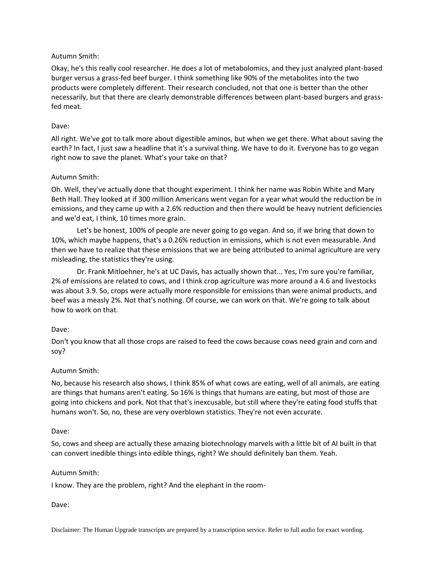# Autumn Smith:

Okay, he's this really cool researcher. He does a lot of metabolomics, and they just analyzed plant-based burger versus a grass-fed beef burger. I think something like 90% of the metabolites into the two products were completely different. Their research concluded, not that one is better than the other necessarily, but that there are clearly demonstrable differences between plant-based burgers and grassfed meat.

# Dave:

All right. We've got to talk more about digestible aminos, but when we get there. What about saving the earth? In fact, I just saw a headline that it's a survival thing. We have to do it. Everyone has to go vegan right now to save the planet. What's your take on that?

# Autumn Smith:

Oh. Well, they've actually done that thought experiment. I think her name was Robin White and Mary Beth Hall. They looked at if 300 million Americans went vegan for a year what would the reduction be in emissions, and they came up with a 2.6% reduction and then there would be heavy nutrient deficiencies and we'd eat, I think, 10 times more grain.

Let's be honest, 100% of people are never going to go vegan. And so, if we bring that down to 10%, which maybe happens, that's a 0.26% reduction in emissions, which is not even measurable. And then we have to realize that these emissions that we are being attributed to animal agriculture are very misleading, the statistics they're using.

Dr. Frank Mitloehner, he's at UC Davis, has actually shown that... Yes, I'm sure you're familiar, 2% of emissions are related to cows, and I think crop agriculture was more around a 4.6 and livestocks was about 3.9. So, crops were actually more responsible for emissions than were animal products, and beef was a measly 2%. Not that's nothing. Of course, we can work on that. We're going to talk about how to work on that.

# Dave:

Don't you know that all those crops are raised to feed the cows because cows need grain and corn and soy?

# Autumn Smith:

No, because his research also shows, I think 85% of what cows are eating, well of all animals, are eating are things that humans aren't eating. So 16% is things that humans are eating, but most of those are going into chickens and pork. Not that that's inexcusable, but still where they're eating food stuffs that humans won't. So, no, these are very overblown statistics. They're not even accurate.

# Dave:

So, cows and sheep are actually these amazing biotechnology marvels with a little bit of AI built in that can convert inedible things into edible things, right? We should definitely ban them. Yeah.

# Autumn Smith:

I know. They are the problem, right? And the elephant in the room-

### Dave: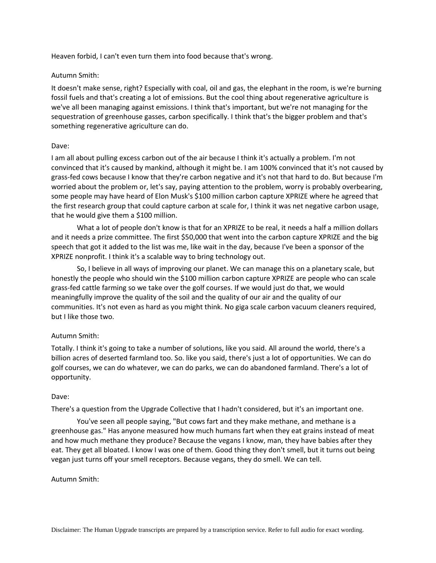Heaven forbid, I can't even turn them into food because that's wrong.

### Autumn Smith:

It doesn't make sense, right? Especially with coal, oil and gas, the elephant in the room, is we're burning fossil fuels and that's creating a lot of emissions. But the cool thing about regenerative agriculture is we've all been managing against emissions. I think that's important, but we're not managing for the sequestration of greenhouse gasses, carbon specifically. I think that's the bigger problem and that's something regenerative agriculture can do.

## Dave:

I am all about pulling excess carbon out of the air because I think it's actually a problem. I'm not convinced that it's caused by mankind, although it might be. I am 100% convinced that it's not caused by grass-fed cows because I know that they're carbon negative and it's not that hard to do. But because I'm worried about the problem or, let's say, paying attention to the problem, worry is probably overbearing, some people may have heard of Elon Musk's \$100 million carbon capture XPRIZE where he agreed that the first research group that could capture carbon at scale for, I think it was net negative carbon usage, that he would give them a \$100 million.

What a lot of people don't know is that for an XPRIZE to be real, it needs a half a million dollars and it needs a prize committee. The first \$50,000 that went into the carbon capture XPRIZE and the big speech that got it added to the list was me, like wait in the day, because I've been a sponsor of the XPRIZE nonprofit. I think it's a scalable way to bring technology out.

So, I believe in all ways of improving our planet. We can manage this on a planetary scale, but honestly the people who should win the \$100 million carbon capture XPRIZE are people who can scale grass-fed cattle farming so we take over the golf courses. If we would just do that, we would meaningfully improve the quality of the soil and the quality of our air and the quality of our communities. It's not even as hard as you might think. No giga scale carbon vacuum cleaners required, but I like those two.

# Autumn Smith:

Totally. I think it's going to take a number of solutions, like you said. All around the world, there's a billion acres of deserted farmland too. So. like you said, there's just a lot of opportunities. We can do golf courses, we can do whatever, we can do parks, we can do abandoned farmland. There's a lot of opportunity.

### Dave:

There's a question from the Upgrade Collective that I hadn't considered, but it's an important one.

You've seen all people saying, "But cows fart and they make methane, and methane is a greenhouse gas." Has anyone measured how much humans fart when they eat grains instead of meat and how much methane they produce? Because the vegans I know, man, they have babies after they eat. They get all bloated. I know I was one of them. Good thing they don't smell, but it turns out being vegan just turns off your smell receptors. Because vegans, they do smell. We can tell.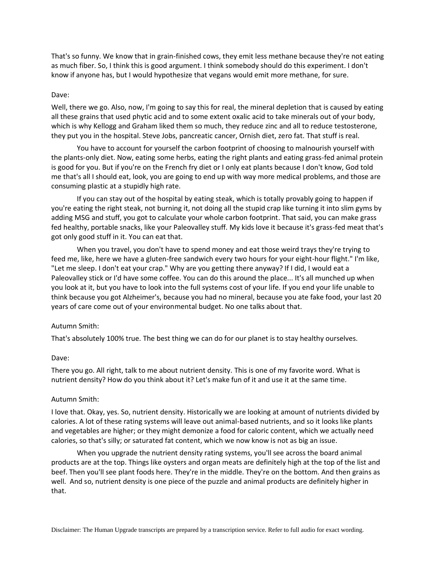That's so funny. We know that in grain-finished cows, they emit less methane because they're not eating as much fiber. So, I think this is good argument. I think somebody should do this experiment. I don't know if anyone has, but I would hypothesize that vegans would emit more methane, for sure.

### Dave:

Well, there we go. Also, now, I'm going to say this for real, the mineral depletion that is caused by eating all these grains that used phytic acid and to some extent oxalic acid to take minerals out of your body, which is why Kellogg and Graham liked them so much, they reduce zinc and all to reduce testosterone, they put you in the hospital. Steve Jobs, pancreatic cancer, Ornish diet, zero fat. That stuff is real.

You have to account for yourself the carbon footprint of choosing to malnourish yourself with the plants-only diet. Now, eating some herbs, eating the right plants and eating grass-fed animal protein is good for you. But if you're on the French fry diet or I only eat plants because I don't know, God told me that's all I should eat, look, you are going to end up with way more medical problems, and those are consuming plastic at a stupidly high rate.

If you can stay out of the hospital by eating steak, which is totally provably going to happen if you're eating the right steak, not burning it, not doing all the stupid crap like turning it into slim gyms by adding MSG and stuff, you got to calculate your whole carbon footprint. That said, you can make grass fed healthy, portable snacks, like your Paleovalley stuff. My kids love it because it's grass-fed meat that's got only good stuff in it. You can eat that.

When you travel, you don't have to spend money and eat those weird trays they're trying to feed me, like, here we have a gluten-free sandwich every two hours for your eight-hour flight." I'm like, "Let me sleep. I don't eat your crap." Why are you getting there anyway? If I did, I would eat a Paleovalley stick or I'd have some coffee. You can do this around the place... It's all munched up when you look at it, but you have to look into the full systems cost of your life. If you end your life unable to think because you got Alzheimer's, because you had no mineral, because you ate fake food, your last 20 years of care come out of your environmental budget. No one talks about that.

#### Autumn Smith:

That's absolutely 100% true. The best thing we can do for our planet is to stay healthy ourselves.

#### Dave:

There you go. All right, talk to me about nutrient density. This is one of my favorite word. What is nutrient density? How do you think about it? Let's make fun of it and use it at the same time.

#### Autumn Smith:

I love that. Okay, yes. So, nutrient density. Historically we are looking at amount of nutrients divided by calories. A lot of these rating systems will leave out animal-based nutrients, and so it looks like plants and vegetables are higher; or they might demonize a food for caloric content, which we actually need calories, so that's silly; or saturated fat content, which we now know is not as big an issue.

When you upgrade the nutrient density rating systems, you'll see across the board animal products are at the top. Things like oysters and organ meats are definitely high at the top of the list and beef. Then you'll see plant foods here. They're in the middle. They're on the bottom. And then grains as well. And so, nutrient density is one piece of the puzzle and animal products are definitely higher in that.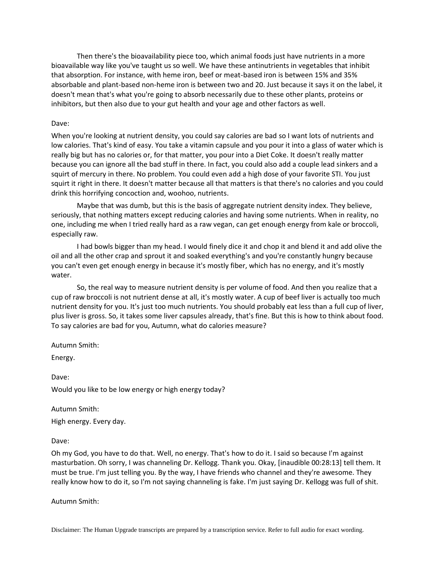Then there's the bioavailability piece too, which animal foods just have nutrients in a more bioavailable way like you've taught us so well. We have these antinutrients in vegetables that inhibit that absorption. For instance, with heme iron, beef or meat-based iron is between 15% and 35% absorbable and plant-based non-heme iron is between two and 20. Just because it says it on the label, it doesn't mean that's what you're going to absorb necessarily due to these other plants, proteins or inhibitors, but then also due to your gut health and your age and other factors as well.

### Dave:

When you're looking at nutrient density, you could say calories are bad so I want lots of nutrients and low calories. That's kind of easy. You take a vitamin capsule and you pour it into a glass of water which is really big but has no calories or, for that matter, you pour into a Diet Coke. It doesn't really matter because you can ignore all the bad stuff in there. In fact, you could also add a couple lead sinkers and a squirt of mercury in there. No problem. You could even add a high dose of your favorite STI. You just squirt it right in there. It doesn't matter because all that matters is that there's no calories and you could drink this horrifying concoction and, woohoo, nutrients.

Maybe that was dumb, but this is the basis of aggregate nutrient density index. They believe, seriously, that nothing matters except reducing calories and having some nutrients. When in reality, no one, including me when I tried really hard as a raw vegan, can get enough energy from kale or broccoli, especially raw.

I had bowls bigger than my head. I would finely dice it and chop it and blend it and add olive the oil and all the other crap and sprout it and soaked everything's and you're constantly hungry because you can't even get enough energy in because it's mostly fiber, which has no energy, and it's mostly water.

So, the real way to measure nutrient density is per volume of food. And then you realize that a cup of raw broccoli is not nutrient dense at all, it's mostly water. A cup of beef liver is actually too much nutrient density for you. It's just too much nutrients. You should probably eat less than a full cup of liver, plus liver is gross. So, it takes some liver capsules already, that's fine. But this is how to think about food. To say calories are bad for you, Autumn, what do calories measure?

Autumn Smith:

Energy.

Dave: Would you like to be low energy or high energy today?

Autumn Smith: High energy. Every day.

Dave:

Oh my God, you have to do that. Well, no energy. That's how to do it. I said so because I'm against masturbation. Oh sorry, I was channeling Dr. Kellogg. Thank you. Okay, [inaudible 00:28:13] tell them. It must be true. I'm just telling you. By the way, I have friends who channel and they're awesome. They really know how to do it, so I'm not saying channeling is fake. I'm just saying Dr. Kellogg was full of shit.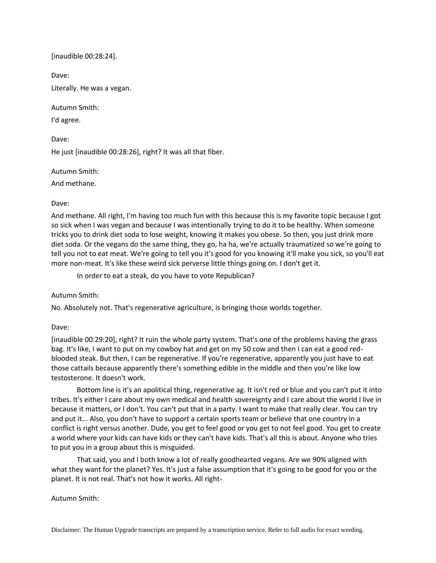[inaudible 00:28:24].

Dave:

Literally. He was a vegan.

Autumn Smith:

I'd agree.

Dave:

He just [inaudible 00:28:26], right? It was all that fiber.

Autumn Smith:

And methane.

# Dave:

And methane. All right, I'm having too much fun with this because this is my favorite topic because I got so sick when I was vegan and because I was intentionally trying to do it to be healthy. When someone tricks you to drink diet soda to lose weight, knowing it makes you obese. So then, you just drink more diet soda. Or the vegans do the same thing, they go, ha ha, we're actually traumatized so we're going to tell you not to eat meat. We're going to tell you it's good for you knowing it'll make you sick, so you'll eat more non-meat. It's like these weird sick perverse little things going on. I don't get it.

In order to eat a steak, do you have to vote Republican?

Autumn Smith:

No. Absolutely not. That's regenerative agriculture, is bringing those worlds together.

# Dave:

[inaudible 00:29:20], right? It ruin the whole party system. That's one of the problems having the grass bag. It's like, I want to put on my cowboy hat and get on my 50 cow and then I can eat a good redblooded steak. But then, I can be regenerative. If you're regenerative, apparently you just have to eat those cattails because apparently there's something edible in the middle and then you're like low testosterone. It doesn't work.

Bottom line is it's an apolitical thing, regenerative ag. It isn't red or blue and you can't put it into tribes. It's either I care about my own medical and health sovereignty and I care about the world I live in because it matters, or I don't. You can't put that in a party. I want to make that really clear. You can try and put it... Also, you don't have to support a certain sports team or believe that one country in a conflict is right versus another. Dude, you get to feel good or you get to not feel good. You get to create a world where your kids can have kids or they can't have kids. That's all this is about. Anyone who tries to put you in a group about this is misguided.

That said, you and I both know a lot of really goodhearted vegans. Are we 90% aligned with what they want for the planet? Yes. It's just a false assumption that it's going to be good for you or the planet. It is not real. That's not how it works. All right-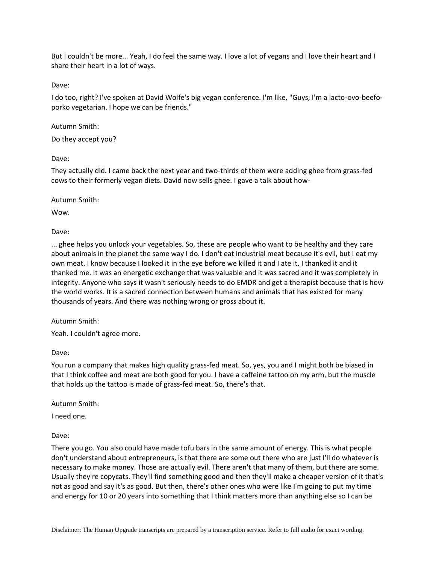But I couldn't be more... Yeah, I do feel the same way. I love a lot of vegans and I love their heart and I share their heart in a lot of ways.

Dave:

I do too, right? I've spoken at David Wolfe's big vegan conference. I'm like, "Guys, I'm a lacto-ovo-beefoporko vegetarian. I hope we can be friends."

Autumn Smith:

Do they accept you?

Dave:

They actually did. I came back the next year and two-thirds of them were adding ghee from grass-fed cows to their formerly vegan diets. David now sells ghee. I gave a talk about how-

Autumn Smith:

Wow.

Dave:

... ghee helps you unlock your vegetables. So, these are people who want to be healthy and they care about animals in the planet the same way I do. I don't eat industrial meat because it's evil, but I eat my own meat. I know because I looked it in the eye before we killed it and I ate it. I thanked it and it thanked me. It was an energetic exchange that was valuable and it was sacred and it was completely in integrity. Anyone who says it wasn't seriously needs to do EMDR and get a therapist because that is how the world works. It is a sacred connection between humans and animals that has existed for many thousands of years. And there was nothing wrong or gross about it.

Autumn Smith:

Yeah. I couldn't agree more.

Dave:

You run a company that makes high quality grass-fed meat. So, yes, you and I might both be biased in that I think coffee and meat are both good for you. I have a caffeine tattoo on my arm, but the muscle that holds up the tattoo is made of grass-fed meat. So, there's that.

Autumn Smith:

I need one.

Dave:

There you go. You also could have made tofu bars in the same amount of energy. This is what people don't understand about entrepreneurs, is that there are some out there who are just I'll do whatever is necessary to make money. Those are actually evil. There aren't that many of them, but there are some. Usually they're copycats. They'll find something good and then they'll make a cheaper version of it that's not as good and say it's as good. But then, there's other ones who were like I'm going to put my time and energy for 10 or 20 years into something that I think matters more than anything else so I can be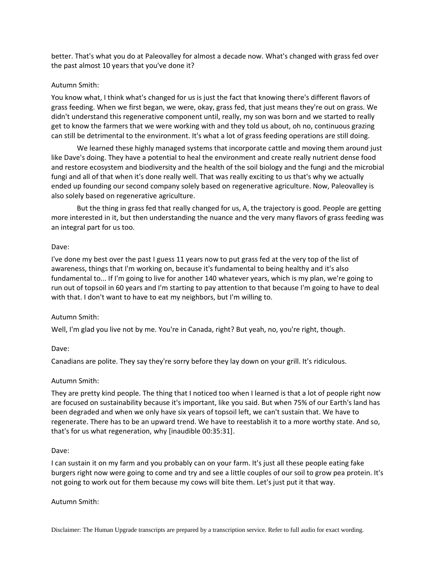better. That's what you do at Paleovalley for almost a decade now. What's changed with grass fed over the past almost 10 years that you've done it?

# Autumn Smith:

You know what, I think what's changed for us is just the fact that knowing there's different flavors of grass feeding. When we first began, we were, okay, grass fed, that just means they're out on grass. We didn't understand this regenerative component until, really, my son was born and we started to really get to know the farmers that we were working with and they told us about, oh no, continuous grazing can still be detrimental to the environment. It's what a lot of grass feeding operations are still doing.

We learned these highly managed systems that incorporate cattle and moving them around just like Dave's doing. They have a potential to heal the environment and create really nutrient dense food and restore ecosystem and biodiversity and the health of the soil biology and the fungi and the microbial fungi and all of that when it's done really well. That was really exciting to us that's why we actually ended up founding our second company solely based on regenerative agriculture. Now, Paleovalley is also solely based on regenerative agriculture.

But the thing in grass fed that really changed for us, A, the trajectory is good. People are getting more interested in it, but then understanding the nuance and the very many flavors of grass feeding was an integral part for us too.

## Dave:

I've done my best over the past I guess 11 years now to put grass fed at the very top of the list of awareness, things that I'm working on, because it's fundamental to being healthy and it's also fundamental to... If I'm going to live for another 140 whatever years, which is my plan, we're going to run out of topsoil in 60 years and I'm starting to pay attention to that because I'm going to have to deal with that. I don't want to have to eat my neighbors, but I'm willing to.

# Autumn Smith:

Well, I'm glad you live not by me. You're in Canada, right? But yeah, no, you're right, though.

### Dave:

Canadians are polite. They say they're sorry before they lay down on your grill. It's ridiculous.

### Autumn Smith:

They are pretty kind people. The thing that I noticed too when I learned is that a lot of people right now are focused on sustainability because it's important, like you said. But when 75% of our Earth's land has been degraded and when we only have six years of topsoil left, we can't sustain that. We have to regenerate. There has to be an upward trend. We have to reestablish it to a more worthy state. And so, that's for us what regeneration, why [inaudible 00:35:31].

### Dave:

I can sustain it on my farm and you probably can on your farm. It's just all these people eating fake burgers right now were going to come and try and see a little couples of our soil to grow pea protein. It's not going to work out for them because my cows will bite them. Let's just put it that way.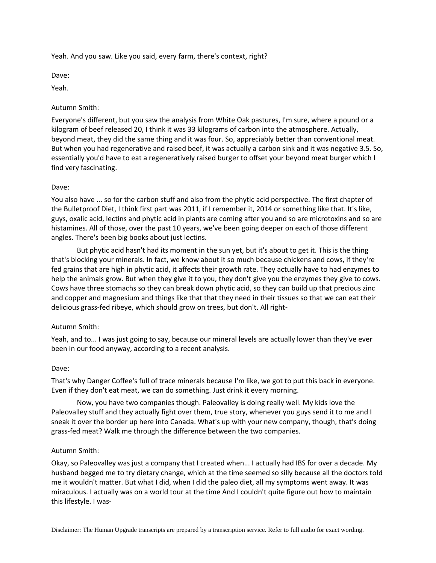Yeah. And you saw. Like you said, every farm, there's context, right?

Dave:

Yeah.

## Autumn Smith:

Everyone's different, but you saw the analysis from White Oak pastures, I'm sure, where a pound or a kilogram of beef released 20, I think it was 33 kilograms of carbon into the atmosphere. Actually, beyond meat, they did the same thing and it was four. So, appreciably better than conventional meat. But when you had regenerative and raised beef, it was actually a carbon sink and it was negative 3.5. So, essentially you'd have to eat a regeneratively raised burger to offset your beyond meat burger which I find very fascinating.

## Dave:

You also have ... so for the carbon stuff and also from the phytic acid perspective. The first chapter of the Bulletproof Diet, I think first part was 2011, if I remember it, 2014 or something like that. It's like, guys, oxalic acid, lectins and phytic acid in plants are coming after you and so are microtoxins and so are histamines. All of those, over the past 10 years, we've been going deeper on each of those different angles. There's been big books about just lectins.

But phytic acid hasn't had its moment in the sun yet, but it's about to get it. This is the thing that's blocking your minerals. In fact, we know about it so much because chickens and cows, if they're fed grains that are high in phytic acid, it affects their growth rate. They actually have to had enzymes to help the animals grow. But when they give it to you, they don't give you the enzymes they give to cows. Cows have three stomachs so they can break down phytic acid, so they can build up that precious zinc and copper and magnesium and things like that that they need in their tissues so that we can eat their delicious grass-fed ribeye, which should grow on trees, but don't. All right-

# Autumn Smith:

Yeah, and to... I was just going to say, because our mineral levels are actually lower than they've ever been in our food anyway, according to a recent analysis.

### Dave:

That's why Danger Coffee's full of trace minerals because I'm like, we got to put this back in everyone. Even if they don't eat meat, we can do something. Just drink it every morning.

Now, you have two companies though. Paleovalley is doing really well. My kids love the Paleovalley stuff and they actually fight over them, true story, whenever you guys send it to me and I sneak it over the border up here into Canada. What's up with your new company, though, that's doing grass-fed meat? Walk me through the difference between the two companies.

### Autumn Smith:

Okay, so Paleovalley was just a company that I created when... I actually had IBS for over a decade. My husband begged me to try dietary change, which at the time seemed so silly because all the doctors told me it wouldn't matter. But what I did, when I did the paleo diet, all my symptoms went away. It was miraculous. I actually was on a world tour at the time And I couldn't quite figure out how to maintain this lifestyle. I was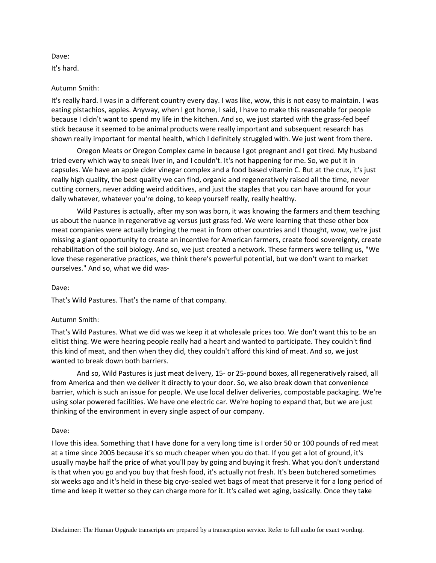Dave:

It's hard.

## Autumn Smith:

It's really hard. I was in a different country every day. I was like, wow, this is not easy to maintain. I was eating pistachios, apples. Anyway, when I got home, I said, I have to make this reasonable for people because I didn't want to spend my life in the kitchen. And so, we just started with the grass-fed beef stick because it seemed to be animal products were really important and subsequent research has shown really important for mental health, which I definitely struggled with. We just went from there.

Oregon Meats or Oregon Complex came in because I got pregnant and I got tired. My husband tried every which way to sneak liver in, and I couldn't. It's not happening for me. So, we put it in capsules. We have an apple cider vinegar complex and a food based vitamin C. But at the crux, it's just really high quality, the best quality we can find, organic and regeneratively raised all the time, never cutting corners, never adding weird additives, and just the staples that you can have around for your daily whatever, whatever you're doing, to keep yourself really, really healthy.

Wild Pastures is actually, after my son was born, it was knowing the farmers and them teaching us about the nuance in regenerative ag versus just grass fed. We were learning that these other box meat companies were actually bringing the meat in from other countries and I thought, wow, we're just missing a giant opportunity to create an incentive for American farmers, create food sovereignty, create rehabilitation of the soil biology. And so, we just created a network. These farmers were telling us, "We love these regenerative practices, we think there's powerful potential, but we don't want to market ourselves." And so, what we did was-

### Dave:

That's Wild Pastures. That's the name of that company.

# Autumn Smith:

That's Wild Pastures. What we did was we keep it at wholesale prices too. We don't want this to be an elitist thing. We were hearing people really had a heart and wanted to participate. They couldn't find this kind of meat, and then when they did, they couldn't afford this kind of meat. And so, we just wanted to break down both barriers.

And so, Wild Pastures is just meat delivery, 15- or 25-pound boxes, all regeneratively raised, all from America and then we deliver it directly to your door. So, we also break down that convenience barrier, which is such an issue for people. We use local deliver deliveries, compostable packaging. We're using solar powered facilities. We have one electric car. We're hoping to expand that, but we are just thinking of the environment in every single aspect of our company.

### Dave:

I love this idea. Something that I have done for a very long time is I order 50 or 100 pounds of red meat at a time since 2005 because it's so much cheaper when you do that. If you get a lot of ground, it's usually maybe half the price of what you'll pay by going and buying it fresh. What you don't understand is that when you go and you buy that fresh food, it's actually not fresh. It's been butchered sometimes six weeks ago and it's held in these big cryo-sealed wet bags of meat that preserve it for a long period of time and keep it wetter so they can charge more for it. It's called wet aging, basically. Once they take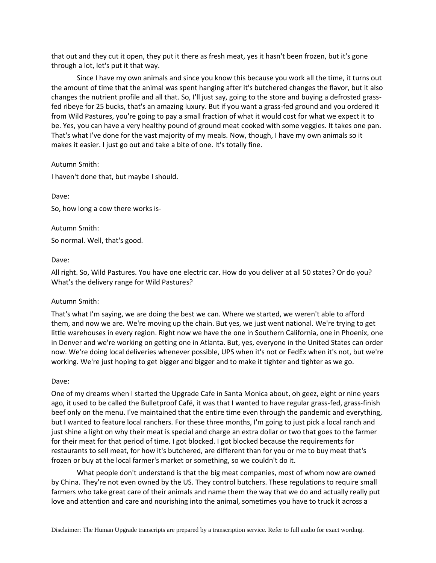that out and they cut it open, they put it there as fresh meat, yes it hasn't been frozen, but it's gone through a lot, let's put it that way.

Since I have my own animals and since you know this because you work all the time, it turns out the amount of time that the animal was spent hanging after it's butchered changes the flavor, but it also changes the nutrient profile and all that. So, I'll just say, going to the store and buying a defrosted grassfed ribeye for 25 bucks, that's an amazing luxury. But if you want a grass-fed ground and you ordered it from Wild Pastures, you're going to pay a small fraction of what it would cost for what we expect it to be. Yes, you can have a very healthy pound of ground meat cooked with some veggies. It takes one pan. That's what I've done for the vast majority of my meals. Now, though, I have my own animals so it makes it easier. I just go out and take a bite of one. It's totally fine.

## Autumn Smith:

I haven't done that, but maybe I should.

Dave:

So, how long a cow there works is-

Autumn Smith: So normal. Well, that's good.

## Dave:

All right. So, Wild Pastures. You have one electric car. How do you deliver at all 50 states? Or do you? What's the delivery range for Wild Pastures?

# Autumn Smith:

That's what I'm saying, we are doing the best we can. Where we started, we weren't able to afford them, and now we are. We're moving up the chain. But yes, we just went national. We're trying to get little warehouses in every region. Right now we have the one in Southern California, one in Phoenix, one in Denver and we're working on getting one in Atlanta. But, yes, everyone in the United States can order now. We're doing local deliveries whenever possible, UPS when it's not or FedEx when it's not, but we're working. We're just hoping to get bigger and bigger and to make it tighter and tighter as we go.

### Dave:

One of my dreams when I started the Upgrade Cafe in Santa Monica about, oh geez, eight or nine years ago, it used to be called the Bulletproof Café, it was that I wanted to have regular grass-fed, grass-finish beef only on the menu. I've maintained that the entire time even through the pandemic and everything, but I wanted to feature local ranchers. For these three months, I'm going to just pick a local ranch and just shine a light on why their meat is special and charge an extra dollar or two that goes to the farmer for their meat for that period of time. I got blocked. I got blocked because the requirements for restaurants to sell meat, for how it's butchered, are different than for you or me to buy meat that's frozen or buy at the local farmer's market or something, so we couldn't do it.

What people don't understand is that the big meat companies, most of whom now are owned by China. They're not even owned by the US. They control butchers. These regulations to require small farmers who take great care of their animals and name them the way that we do and actually really put love and attention and care and nourishing into the animal, sometimes you have to truck it across a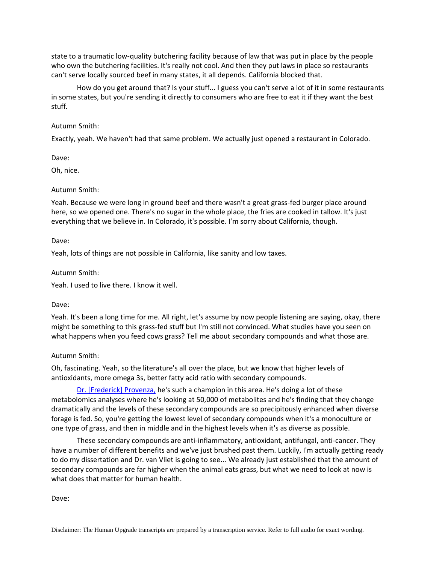state to a traumatic low-quality butchering facility because of law that was put in place by the people who own the butchering facilities. It's really not cool. And then they put laws in place so restaurants can't serve locally sourced beef in many states, it all depends. California blocked that.

How do you get around that? Is your stuff... I guess you can't serve a lot of it in some restaurants in some states, but you're sending it directly to consumers who are free to eat it if they want the best stuff.

## Autumn Smith:

Exactly, yeah. We haven't had that same problem. We actually just opened a restaurant in Colorado.

Dave:

Oh, nice.

## Autumn Smith:

Yeah. Because we were long in ground beef and there wasn't a great grass-fed burger place around here, so we opened one. There's no sugar in the whole place, the fries are cooked in tallow. It's just everything that we believe in. In Colorado, it's possible. I'm sorry about California, though.

## Dave:

Yeah, lots of things are not possible in California, like sanity and low taxes.

## Autumn Smith:

Yeah. I used to live there. I know it well.

### Dave:

Yeah. It's been a long time for me. All right, let's assume by now people listening are saying, okay, there might be something to this grass-fed stuff but I'm still not convinced. What studies have you seen on what happens when you feed cows grass? Tell me about secondary compounds and what those are.

# Autumn Smith:

Oh, fascinating. Yeah, so the literature's all over the place, but we know that higher levels of antioxidants, more omega 3s, better fatty acid ratio with secondary compounds.

[Dr. \[Frederick\] Provenza,](https://www.nature.com/articles/s41598-021-93100-3) he's such a champion in this area. He's doing a lot of these metabolomics analyses where he's looking at 50,000 of metabolites and he's finding that they change dramatically and the levels of these secondary compounds are so precipitously enhanced when diverse forage is fed. So, you're getting the lowest level of secondary compounds when it's a monoculture or one type of grass, and then in middle and in the highest levels when it's as diverse as possible.

These secondary compounds are anti-inflammatory, antioxidant, antifungal, anti-cancer. They have a number of different benefits and we've just brushed past them. Luckily, I'm actually getting ready to do my dissertation and Dr. van Vliet is going to see... We already just established that the amount of secondary compounds are far higher when the animal eats grass, but what we need to look at now is what does that matter for human health.

Dave: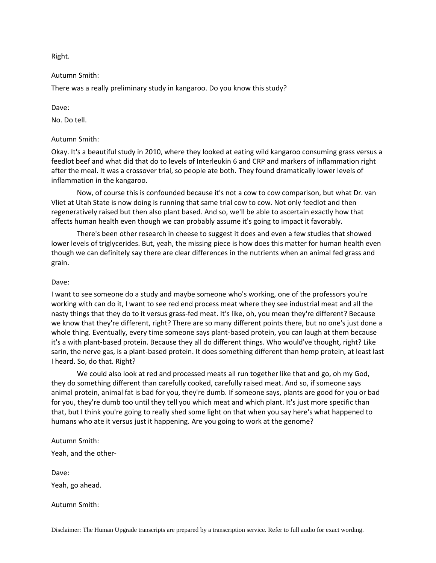Right.

## Autumn Smith:

There was a really preliminary study in kangaroo. Do you know this study?

Dave:

No. Do tell.

## Autumn Smith:

Okay. It's a beautiful study in 2010, where they looked at eating wild kangaroo consuming grass versus a feedlot beef and what did that do to levels of Interleukin 6 and CRP and markers of inflammation right after the meal. It was a crossover trial, so people ate both. They found dramatically lower levels of inflammation in the kangaroo.

Now, of course this is confounded because it's not a cow to cow comparison, but what Dr. van Vliet at Utah State is now doing is running that same trial cow to cow. Not only feedlot and then regeneratively raised but then also plant based. And so, we'll be able to ascertain exactly how that affects human health even though we can probably assume it's going to impact it favorably.

There's been other research in cheese to suggest it does and even a few studies that showed lower levels of triglycerides. But, yeah, the missing piece is how does this matter for human health even though we can definitely say there are clear differences in the nutrients when an animal fed grass and grain.

### Dave:

I want to see someone do a study and maybe someone who's working, one of the professors you're working with can do it, I want to see red end process meat where they see industrial meat and all the nasty things that they do to it versus grass-fed meat. It's like, oh, you mean they're different? Because we know that they're different, right? There are so many different points there, but no one's just done a whole thing. Eventually, every time someone says plant-based protein, you can laugh at them because it's a with plant-based protein. Because they all do different things. Who would've thought, right? Like sarin, the nerve gas, is a plant-based protein. It does something different than hemp protein, at least last I heard. So, do that. Right?

We could also look at red and processed meats all run together like that and go, oh my God, they do something different than carefully cooked, carefully raised meat. And so, if someone says animal protein, animal fat is bad for you, they're dumb. If someone says, plants are good for you or bad for you, they're dumb too until they tell you which meat and which plant. It's just more specific than that, but I think you're going to really shed some light on that when you say here's what happened to humans who ate it versus just it happening. Are you going to work at the genome?

Autumn Smith:

Yeah, and the other-

Dave:

Yeah, go ahead.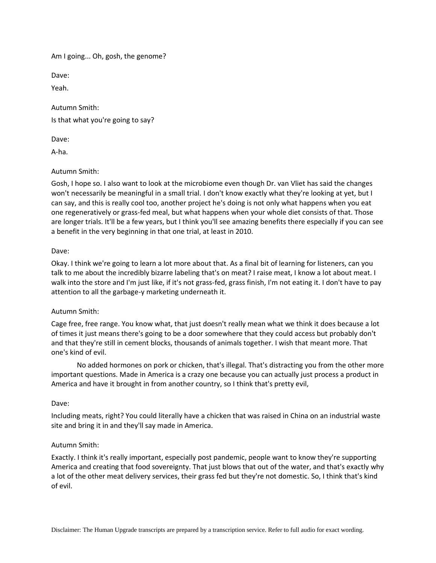Am I going... Oh, gosh, the genome?

Dave:

Yeah.

Autumn Smith: Is that what you're going to say?

Dave:

A-ha.

Autumn Smith:

Gosh, I hope so. I also want to look at the microbiome even though Dr. van Vliet has said the changes won't necessarily be meaningful in a small trial. I don't know exactly what they're looking at yet, but I can say, and this is really cool too, another project he's doing is not only what happens when you eat one regeneratively or grass-fed meal, but what happens when your whole diet consists of that. Those are longer trials. It'll be a few years, but I think you'll see amazing benefits there especially if you can see a benefit in the very beginning in that one trial, at least in 2010.

## Dave:

Okay. I think we're going to learn a lot more about that. As a final bit of learning for listeners, can you talk to me about the incredibly bizarre labeling that's on meat? I raise meat, I know a lot about meat. I walk into the store and I'm just like, if it's not grass-fed, grass finish, I'm not eating it. I don't have to pay attention to all the garbage-y marketing underneath it.

### Autumn Smith:

Cage free, free range. You know what, that just doesn't really mean what we think it does because a lot of times it just means there's going to be a door somewhere that they could access but probably don't and that they're still in cement blocks, thousands of animals together. I wish that meant more. That one's kind of evil.

No added hormones on pork or chicken, that's illegal. That's distracting you from the other more important questions. Made in America is a crazy one because you can actually just process a product in America and have it brought in from another country, so I think that's pretty evil,

### Dave:

Including meats, right? You could literally have a chicken that was raised in China on an industrial waste site and bring it in and they'll say made in America.

### Autumn Smith:

Exactly. I think it's really important, especially post pandemic, people want to know they're supporting America and creating that food sovereignty. That just blows that out of the water, and that's exactly why a lot of the other meat delivery services, their grass fed but they're not domestic. So, I think that's kind of evil.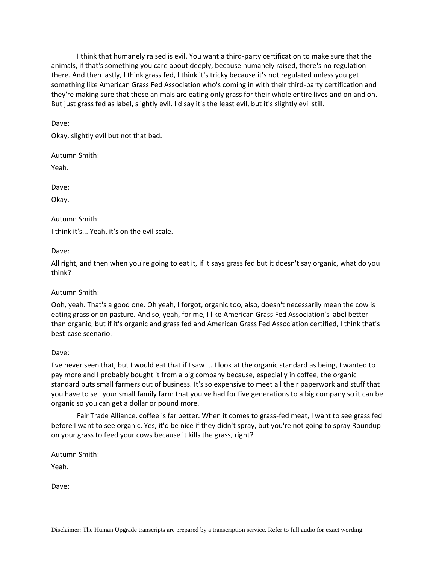I think that humanely raised is evil. You want a third-party certification to make sure that the animals, if that's something you care about deeply, because humanely raised, there's no regulation there. And then lastly, I think grass fed, I think it's tricky because it's not regulated unless you get something like American Grass Fed Association who's coming in with their third-party certification and they're making sure that these animals are eating only grass for their whole entire lives and on and on. But just grass fed as label, slightly evil. I'd say it's the least evil, but it's slightly evil still.

Dave:

Okay, slightly evil but not that bad.

Autumn Smith:

Yeah.

Dave:

Okay.

Autumn Smith:

I think it's... Yeah, it's on the evil scale.

Dave:

All right, and then when you're going to eat it, if it says grass fed but it doesn't say organic, what do you think?

Autumn Smith:

Ooh, yeah. That's a good one. Oh yeah, I forgot, organic too, also, doesn't necessarily mean the cow is eating grass or on pasture. And so, yeah, for me, I like American Grass Fed Association's label better than organic, but if it's organic and grass fed and American Grass Fed Association certified, I think that's best-case scenario.

Dave:

I've never seen that, but I would eat that if I saw it. I look at the organic standard as being, I wanted to pay more and I probably bought it from a big company because, especially in coffee, the organic standard puts small farmers out of business. It's so expensive to meet all their paperwork and stuff that you have to sell your small family farm that you've had for five generations to a big company so it can be organic so you can get a dollar or pound more.

Fair Trade Alliance, coffee is far better. When it comes to grass-fed meat, I want to see grass fed before I want to see organic. Yes, it'd be nice if they didn't spray, but you're not going to spray Roundup on your grass to feed your cows because it kills the grass, right?

Autumn Smith:

Yeah.

Dave: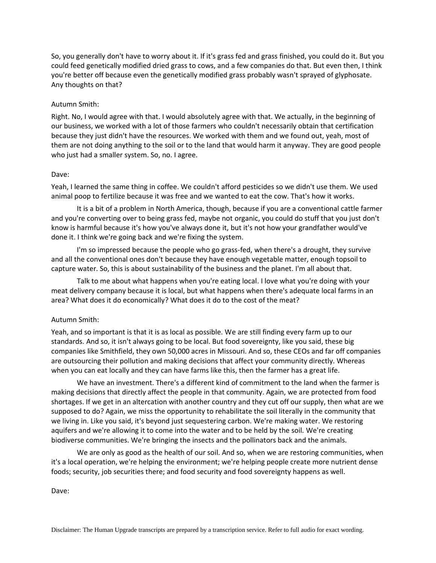So, you generally don't have to worry about it. If it's grass fed and grass finished, you could do it. But you could feed genetically modified dried grass to cows, and a few companies do that. But even then, I think you're better off because even the genetically modified grass probably wasn't sprayed of glyphosate. Any thoughts on that?

## Autumn Smith:

Right. No, I would agree with that. I would absolutely agree with that. We actually, in the beginning of our business, we worked with a lot of those farmers who couldn't necessarily obtain that certification because they just didn't have the resources. We worked with them and we found out, yeah, most of them are not doing anything to the soil or to the land that would harm it anyway. They are good people who just had a smaller system. So, no. I agree.

### Dave:

Yeah, I learned the same thing in coffee. We couldn't afford pesticides so we didn't use them. We used animal poop to fertilize because it was free and we wanted to eat the cow. That's how it works.

It is a bit of a problem in North America, though, because if you are a conventional cattle farmer and you're converting over to being grass fed, maybe not organic, you could do stuff that you just don't know is harmful because it's how you've always done it, but it's not how your grandfather would've done it. I think we're going back and we're fixing the system.

I'm so impressed because the people who go grass-fed, when there's a drought, they survive and all the conventional ones don't because they have enough vegetable matter, enough topsoil to capture water. So, this is about sustainability of the business and the planet. I'm all about that.

Talk to me about what happens when you're eating local. I love what you're doing with your meat delivery company because it is local, but what happens when there's adequate local farms in an area? What does it do economically? What does it do to the cost of the meat?

### Autumn Smith:

Yeah, and so important is that it is as local as possible. We are still finding every farm up to our standards. And so, it isn't always going to be local. But food sovereignty, like you said, these big companies like Smithfield, they own 50,000 acres in Missouri. And so, these CEOs and far off companies are outsourcing their pollution and making decisions that affect your community directly. Whereas when you can eat locally and they can have farms like this, then the farmer has a great life.

We have an investment. There's a different kind of commitment to the land when the farmer is making decisions that directly affect the people in that community. Again, we are protected from food shortages. If we get in an altercation with another country and they cut off our supply, then what are we supposed to do? Again, we miss the opportunity to rehabilitate the soil literally in the community that we living in. Like you said, it's beyond just sequestering carbon. We're making water. We restoring aquifers and we're allowing it to come into the water and to be held by the soil. We're creating biodiverse communities. We're bringing the insects and the pollinators back and the animals.

We are only as good as the health of our soil. And so, when we are restoring communities, when it's a local operation, we're helping the environment; we're helping people create more nutrient dense foods; security, job securities there; and food security and food sovereignty happens as well.

Dave: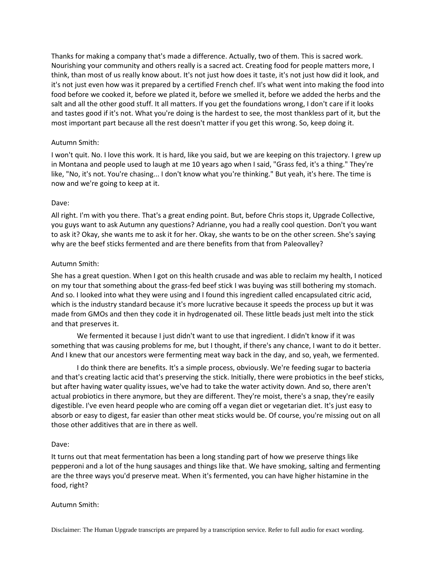Thanks for making a company that's made a difference. Actually, two of them. This is sacred work. Nourishing your community and others really is a sacred act. Creating food for people matters more, I think, than most of us really know about. It's not just how does it taste, it's not just how did it look, and it's not just even how was it prepared by a certified French chef. II's what went into making the food into food before we cooked it, before we plated it, before we smelled it, before we added the herbs and the salt and all the other good stuff. It all matters. If you get the foundations wrong, I don't care if it looks and tastes good if it's not. What you're doing is the hardest to see, the most thankless part of it, but the most important part because all the rest doesn't matter if you get this wrong. So, keep doing it.

# Autumn Smith:

I won't quit. No. I love this work. It is hard, like you said, but we are keeping on this trajectory. I grew up in Montana and people used to laugh at me 10 years ago when I said, "Grass fed, it's a thing." They're like, "No, it's not. You're chasing... I don't know what you're thinking." But yeah, it's here. The time is now and we're going to keep at it.

## Dave:

All right. I'm with you there. That's a great ending point. But, before Chris stops it, Upgrade Collective, you guys want to ask Autumn any questions? Adrianne, you had a really cool question. Don't you want to ask it? Okay, she wants me to ask it for her. Okay, she wants to be on the other screen. She's saying why are the beef sticks fermented and are there benefits from that from Paleovalley?

## Autumn Smith:

She has a great question. When I got on this health crusade and was able to reclaim my health, I noticed on my tour that something about the grass-fed beef stick I was buying was still bothering my stomach. And so. I looked into what they were using and I found this ingredient called encapsulated citric acid, which is the industry standard because it's more lucrative because it speeds the process up but it was made from GMOs and then they code it in hydrogenated oil. These little beads just melt into the stick and that preserves it.

We fermented it because I just didn't want to use that ingredient. I didn't know if it was something that was causing problems for me, but I thought, if there's any chance, I want to do it better. And I knew that our ancestors were fermenting meat way back in the day, and so, yeah, we fermented.

I do think there are benefits. It's a simple process, obviously. We're feeding sugar to bacteria and that's creating lactic acid that's preserving the stick. Initially, there were probiotics in the beef sticks, but after having water quality issues, we've had to take the water activity down. And so, there aren't actual probiotics in there anymore, but they are different. They're moist, there's a snap, they're easily digestible. I've even heard people who are coming off a vegan diet or vegetarian diet. It's just easy to absorb or easy to digest, far easier than other meat sticks would be. Of course, you're missing out on all those other additives that are in there as well.

### Dave:

It turns out that meat fermentation has been a long standing part of how we preserve things like pepperoni and a lot of the hung sausages and things like that. We have smoking, salting and fermenting are the three ways you'd preserve meat. When it's fermented, you can have higher histamine in the food, right?